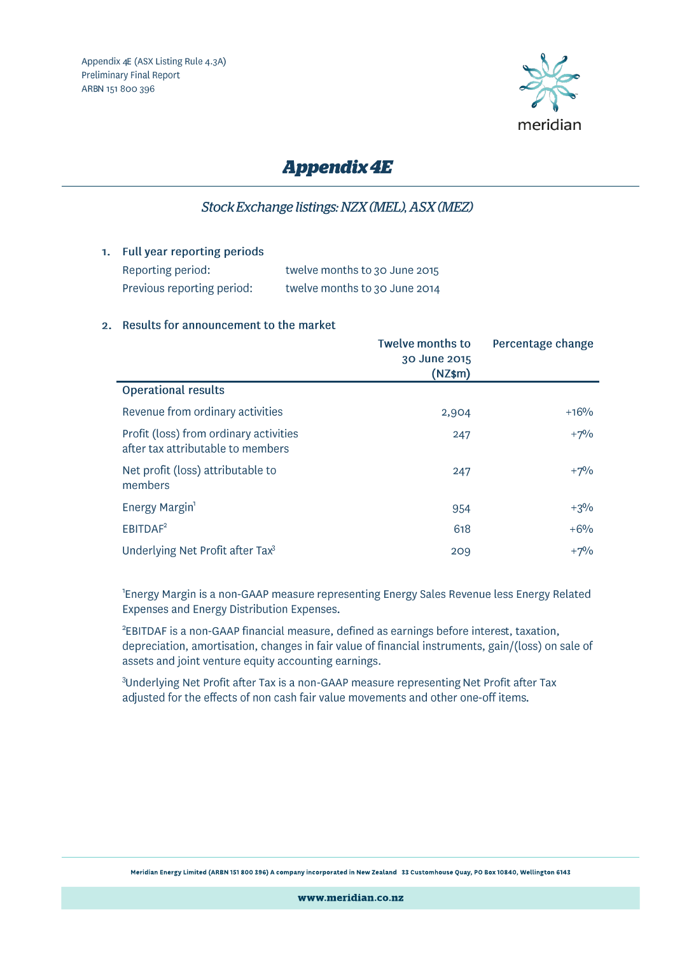

# **Appendix 4E**

## Stock Exchange listings: NZX (MEL), ASX (MEZ)

1. Full year reporting periods

Reporting period: Previous reporting period:

twelve months to 30 June 2015 twelve months to 30 June 2014

### 2. Results for announcement to the market

|                                                                             | <b>Twelve months to</b><br>30 June 2015<br>$(NZ$ \$m $)$ | Percentage change |
|-----------------------------------------------------------------------------|----------------------------------------------------------|-------------------|
| <b>Operational results</b>                                                  |                                                          |                   |
| Revenue from ordinary activities                                            | 2,904                                                    | $+16%$            |
| Profit (loss) from ordinary activities<br>after tax attributable to members | 247                                                      | $+7%$             |
| Net profit (loss) attributable to<br>members                                | 247                                                      | $+7\%$            |
| Energy Margin <sup>1</sup>                                                  | 954                                                      | $+3\%$            |
| EBITDAF <sup>2</sup>                                                        | 618                                                      | $+6%$             |
| Underlying Net Profit after Tax <sup>3</sup>                                | 209                                                      | $+7%$             |

<sup>1</sup>Energy Margin is a non-GAAP measure representing Energy Sales Revenue less Energy Related Expenses and Energy Distribution Expenses.

<sup>2</sup>EBITDAF is a non-GAAP financial measure, defined as earnings before interest, taxation, depreciation, amortisation, changes in fair value of financial instruments, gain/(loss) on sale of assets and joint venture equity accounting earnings.

<sup>3</sup>Underlying Net Profit after Tax is a non-GAAP measure representing Net Profit after Tax adjusted for the effects of non cash fair value movements and other one-off items.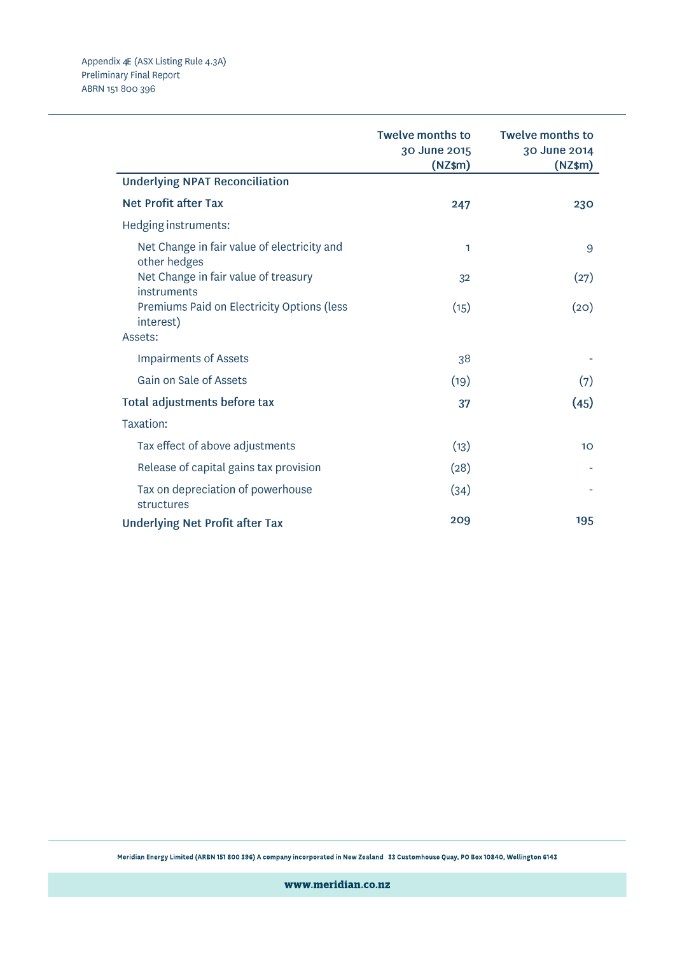| <b>Underlying NPAT Reconciliation</b>                                                               | <b>Twelve months to</b><br>30 June 2015<br>$(NZ$ \$m $)$ | <b>Twelve months to</b><br>30 June 2014<br>$(NZ$ \$m $)$ |
|-----------------------------------------------------------------------------------------------------|----------------------------------------------------------|----------------------------------------------------------|
| <b>Net Profit after Tax</b>                                                                         | 247                                                      | 230                                                      |
| Hedging instruments:                                                                                |                                                          |                                                          |
| Net Change in fair value of electricity and<br>other hedges<br>Net Change in fair value of treasury | 1                                                        | 9                                                        |
| instruments                                                                                         | 32                                                       | (27)                                                     |
| Premiums Paid on Electricity Options (less<br>interest)                                             | (15)                                                     | (20)                                                     |
| Assets:                                                                                             |                                                          |                                                          |
| <b>Impairments of Assets</b>                                                                        | 38                                                       |                                                          |
| Gain on Sale of Assets                                                                              | (19)                                                     | (7)                                                      |
| Total adjustments before tax                                                                        | 37                                                       | (45)                                                     |
| Taxation:                                                                                           |                                                          |                                                          |
| Tax effect of above adjustments                                                                     | (13)                                                     | 10                                                       |
| Release of capital gains tax provision                                                              | (28)                                                     |                                                          |
| Tax on depreciation of powerhouse<br>structures                                                     | (34)                                                     |                                                          |
| <b>Underlying Net Profit after Tax</b>                                                              | 209                                                      | 195                                                      |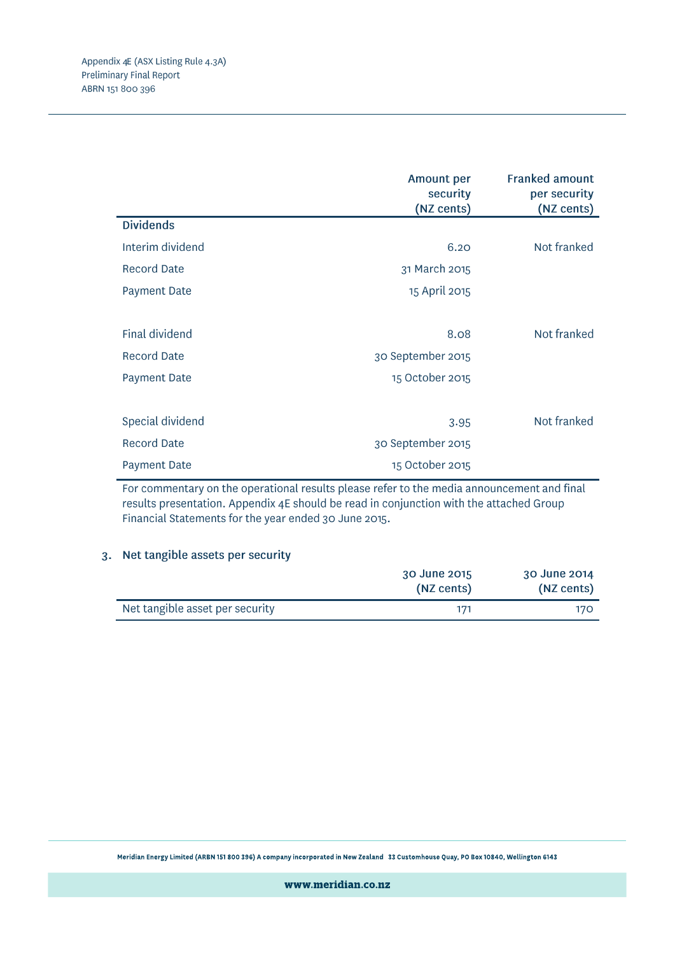|                     | <b>Amount per</b><br>security<br>(NZ cents) | <b>Franked amount</b><br>per security<br>(NZ cents) |
|---------------------|---------------------------------------------|-----------------------------------------------------|
| <b>Dividends</b>    |                                             |                                                     |
| Interim dividend    | 6.20                                        | Not franked                                         |
| <b>Record Date</b>  | 31 March 2015                               |                                                     |
| <b>Payment Date</b> | 15 April 2015                               |                                                     |
|                     |                                             |                                                     |
| Final dividend      | 8.08                                        | Not franked                                         |
| <b>Record Date</b>  | 30 September 2015                           |                                                     |
| <b>Payment Date</b> | 15 October 2015                             |                                                     |
|                     |                                             |                                                     |
| Special dividend    | 3.95                                        | Not franked                                         |
| <b>Record Date</b>  | 30 September 2015                           |                                                     |
| <b>Payment Date</b> | 15 October 2015                             |                                                     |

For commentary on the operational results please refer to the media announcement and final results presentation. Appendix 4E should be read in conjunction with the attached Group Financial Statements for the year ended 30 June 2015.

### 3. Net tangible assets per security

|                                 | 30 June 2015<br>(NZ cents) | 30 June 2014<br>(NZ cents) |
|---------------------------------|----------------------------|----------------------------|
| Net tangible asset per security |                            | 170                        |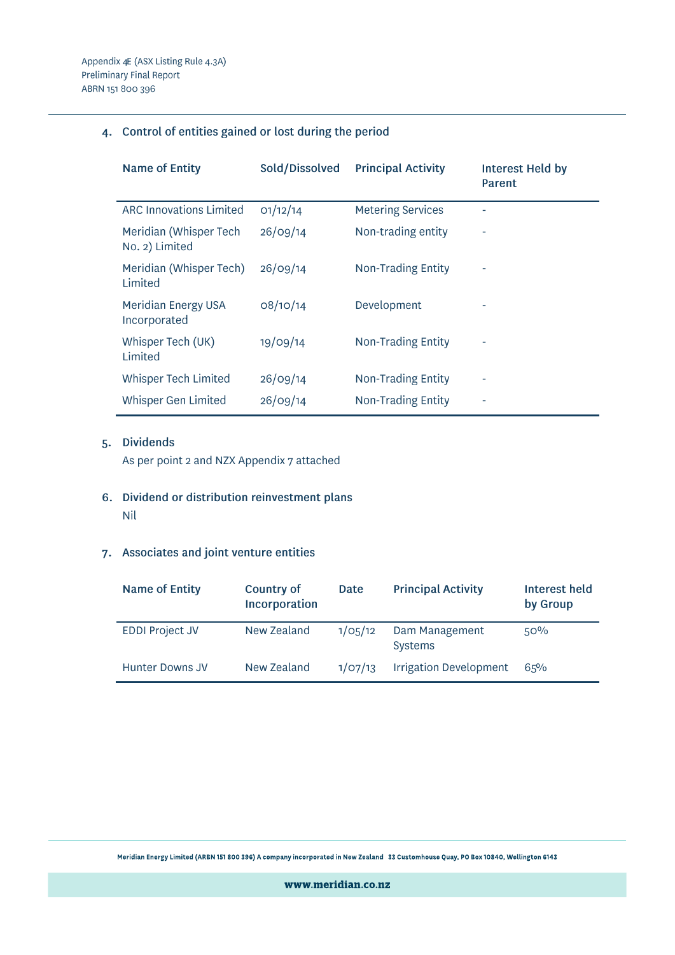## 4. Control of entities gained or lost during the period

| <b>Name of Entity</b>                    | Sold/Dissolved | <b>Principal Activity</b> | Interest Held by<br>Parent |
|------------------------------------------|----------------|---------------------------|----------------------------|
| <b>ARC Innovations Limited</b>           | O1/12/14       | <b>Metering Services</b>  |                            |
| Meridian (Whisper Tech<br>No. 2) Limited | 26/09/14       | Non-trading entity        | ۰                          |
| Meridian (Whisper Tech)<br>Limited       | 26/09/14       | Non-Trading Entity        | ۰                          |
| Meridian Energy USA<br>Incorporated      | 08/10/14       | Development               | ۰                          |
| Whisper Tech (UK)<br>Limited             | 19/09/14       | Non-Trading Entity        | ۰                          |
| Whisper Tech Limited                     | 26/09/14       | Non-Trading Entity        |                            |
| Whisper Gen Limited                      | 26/09/14       | Non-Trading Entity        | ۰                          |

## 5. Dividends

As per point 2 and NZX Appendix 7 attached

6. Dividend or distribution reinvestment plans Nil

## 7. Associates and joint venture entities

| <b>Name of Entity</b>  | Country of<br>Incorporation | Date                 | <b>Principal Activity</b>        | Interest held<br>by Group |
|------------------------|-----------------------------|----------------------|----------------------------------|---------------------------|
| <b>EDDI Project JV</b> | New Zealand                 | 1/O <sub>5</sub> /12 | Dam Management<br><b>Systems</b> | 50%                       |
| Hunter Downs JV        | New Zealand                 | 1/O7/13              | <b>Irrigation Development</b>    | 65%                       |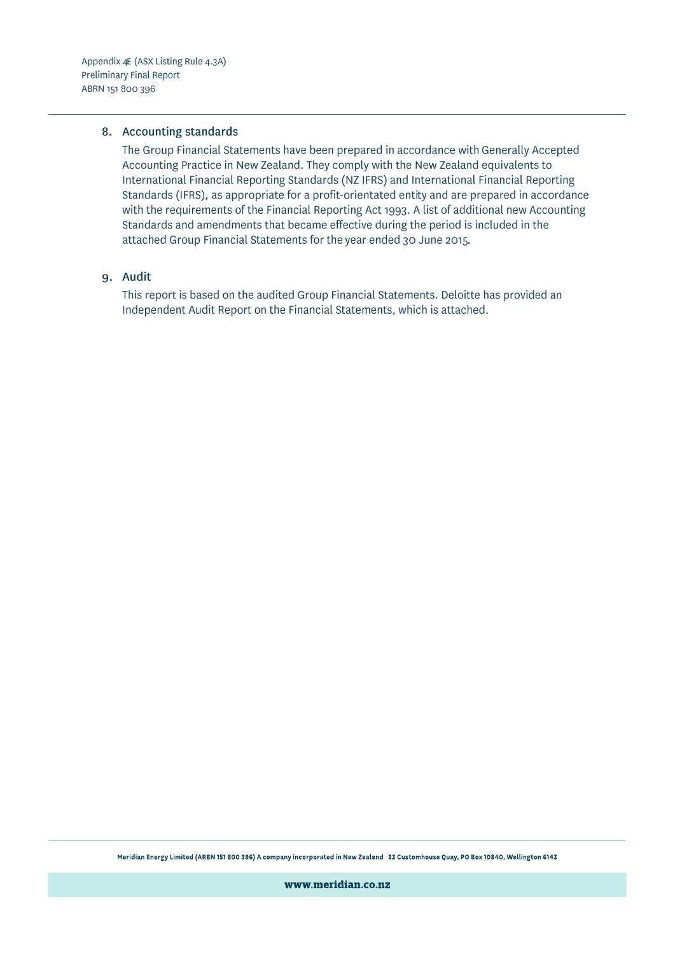#### 8. Accounting standards

The Group Financial Statements have been prepared in accordance with Generally Accepted Accounting Practice in New Zealand. They comply with the New Zealand equivalents to International Financial Reporting Standards (NZ IFRS) and International Financial Reporting Standards (IFRS), as appropriate for a profit-orientated entity and are prepared in accordance with the requirements of the Financial Reporting Act 1993. A list of additional new Accounting Standards and amendments that became effective during the period is included in the attached Group Financial Statements for the year ended 30 June 2015.

### 9. Audit

This report is based on the audited Group Financial Statements. Deloitte has provided an Independent Audit Report on the Financial Statements, which is attached.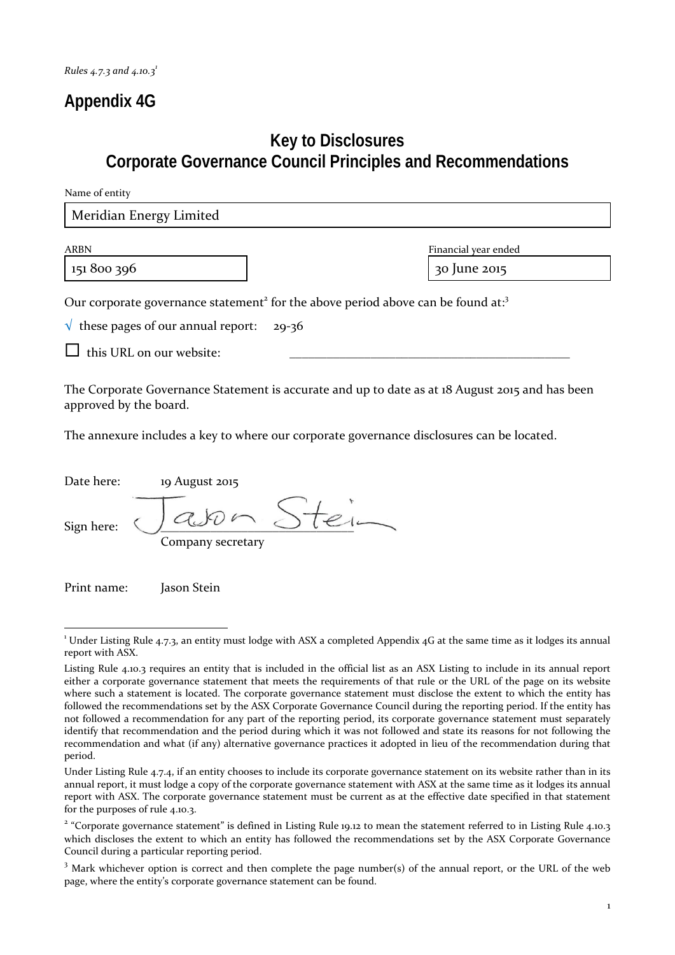# **Appendix 4G**

# **Key to Disclosures Corporate Governance Council Principles and Recommendations**

| Name of entity                                                                                                                                                                                     |                                                                                                 |
|----------------------------------------------------------------------------------------------------------------------------------------------------------------------------------------------------|-------------------------------------------------------------------------------------------------|
| Meridian Energy Limited                                                                                                                                                                            |                                                                                                 |
| <b>ARBN</b><br>151 800 396                                                                                                                                                                         | Financial year ended<br>30 June 2015                                                            |
| Our corporate governance statement <sup>2</sup> for the above period above can be found at: <sup>3</sup><br>$\sqrt{\ }$ these pages of our annual report:<br>$29 - 36$<br>this URL on our website: |                                                                                                 |
| approved by the board.                                                                                                                                                                             | The Corporate Governance Statement is accurate and up to date as at 18 August 2015 and has been |

The annexure includes a key to where our corporate governance disclosures can be located.

| Date here: | 19 August 2015    |
|------------|-------------------|
| Sign here: | Company secretary |

Print name: Jason Stein

<sup>&</sup>lt;u> 1989 - Jan Samuel Barbara, político establecido de la provincia de la provincia de la provincia de la provinci</u>  $^1$  Under Listing Rule 4.7.3, an entity must lodge with ASX a completed Appendix 4G at the same time as it lodges its annual report with ASX.

Listing Rule 4.10.3 requires an entity that is included in the official list as an ASX Listing to include in its annual report either a corporate governance statement that meets the requirements of that rule or the URL of the page on its website where such a statement is located. The corporate governance statement must disclose the extent to which the entity has followed the recommendations set by the ASX Corporate Governance Council during the reporting period. If the entity has not followed a recommendation for any part of the reporting period, its corporate governance statement must separately identify that recommendation and the period during which it was not followed and state its reasons for not following the recommendation and what (if any) alternative governance practices it adopted in lieu of the recommendation during that period.

Under Listing Rule 4.7.4, if an entity chooses to include its corporate governance statement on its website rather than in its annual report, it must lodge a copy of the corporate governance statement with ASX at the same time as it lodges its annual report with ASX. The corporate governance statement must be current as at the effective date specified in that statement for the purposes of rule 4.10.3.

<sup>&</sup>lt;sup>2</sup> "Corporate governance statement" is defined in Listing Rule 19.12 to mean the statement referred to in Listing Rule 4.10.3 which discloses the extent to which an entity has followed the recommendations set by the ASX Corporate Governance Council during a particular reporting period.

<sup>&</sup>lt;sup>3</sup> Mark whichever option is correct and then complete the page number(s) of the annual report, or the URL of the web page, where the entity's corporate governance statement can be found.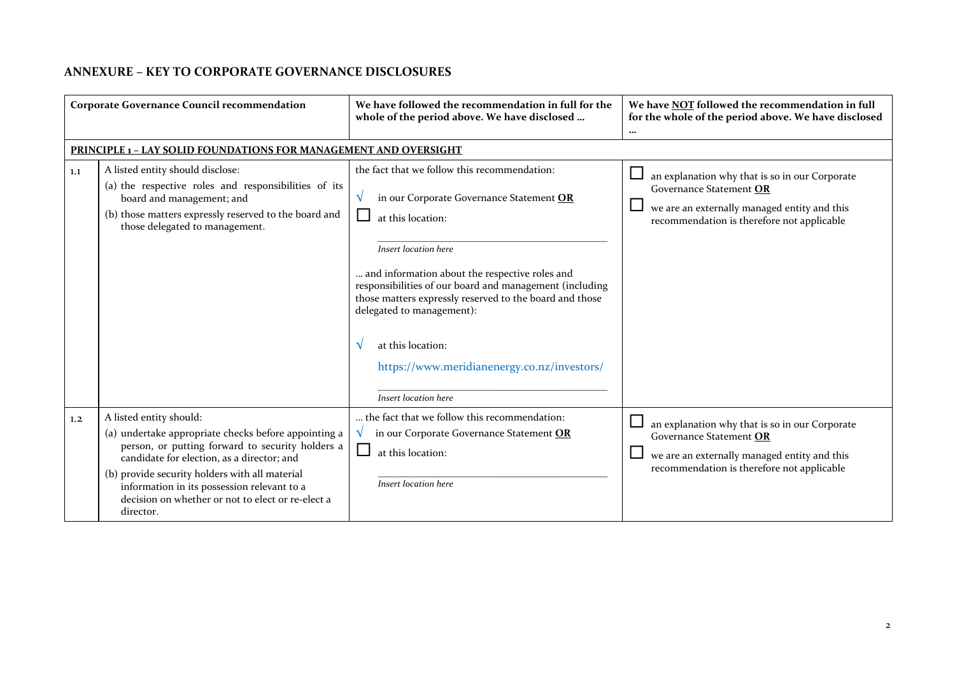## **ANNEXURE – KEY TO CORPORATE GOVERNANCE DISCLOSURES**

| <b>Corporate Governance Council recommendation</b> |                                                                                                                                                                                                                                                                                                                                                      | We have followed the recommendation in full for the<br>whole of the period above. We have disclosed                                                                                                                                                                                                                                                                                                                                         | We have NOT followed the recommendation in full<br>for the whole of the period above. We have disclosed<br>$\cdots$                                                     |
|----------------------------------------------------|------------------------------------------------------------------------------------------------------------------------------------------------------------------------------------------------------------------------------------------------------------------------------------------------------------------------------------------------------|---------------------------------------------------------------------------------------------------------------------------------------------------------------------------------------------------------------------------------------------------------------------------------------------------------------------------------------------------------------------------------------------------------------------------------------------|-------------------------------------------------------------------------------------------------------------------------------------------------------------------------|
|                                                    | <b>PRINCIPLE 1 - LAY SOLID FOUNDATIONS FOR MANAGEMENT AND OVERSIGHT</b>                                                                                                                                                                                                                                                                              |                                                                                                                                                                                                                                                                                                                                                                                                                                             |                                                                                                                                                                         |
| 1.1                                                | A listed entity should disclose:<br>(a) the respective roles and responsibilities of its<br>board and management; and<br>(b) those matters expressly reserved to the board and<br>those delegated to management.                                                                                                                                     | the fact that we follow this recommendation:<br>in our Corporate Governance Statement OR<br>V<br>at this location:<br>Insert location here<br>and information about the respective roles and<br>responsibilities of our board and management (including<br>those matters expressly reserved to the board and those<br>delegated to management):<br>at this location:<br>https://www.meridianenergy.co.nz/investors/<br>Insert location here | an explanation why that is so in our Corporate<br>Governance Statement OR<br>we are an externally managed entity and this<br>recommendation is therefore not applicable |
| 1,2                                                | A listed entity should:<br>(a) undertake appropriate checks before appointing a<br>person, or putting forward to security holders a<br>candidate for election, as a director; and<br>(b) provide security holders with all material<br>information in its possession relevant to a<br>decision on whether or not to elect or re-elect a<br>director. | the fact that we follow this recommendation:<br>in our Corporate Governance Statement OR<br>at this location:<br>Insert location here                                                                                                                                                                                                                                                                                                       | an explanation why that is so in our Corporate<br>Governance Statement OR<br>we are an externally managed entity and this<br>recommendation is therefore not applicable |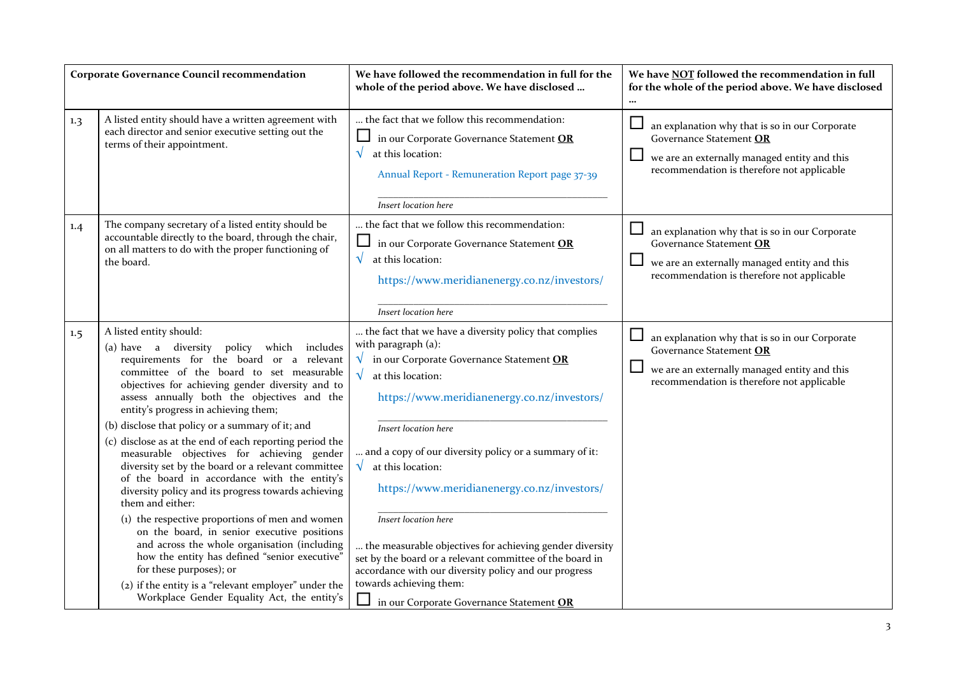|     | <b>Corporate Governance Council recommendation</b>                                                                                                                                                                                                                                                                                                                                                                                                                                                                                                                                                                                                                                                                                                                                                                                                                                   | We have followed the recommendation in full for the<br>whole of the period above. We have disclosed                                                                                                                                                                                                                                                                                                                                                                                                                                                                                                         | We have NOT followed the recommendation in full<br>for the whole of the period above. We have disclosed                                                                           |
|-----|--------------------------------------------------------------------------------------------------------------------------------------------------------------------------------------------------------------------------------------------------------------------------------------------------------------------------------------------------------------------------------------------------------------------------------------------------------------------------------------------------------------------------------------------------------------------------------------------------------------------------------------------------------------------------------------------------------------------------------------------------------------------------------------------------------------------------------------------------------------------------------------|-------------------------------------------------------------------------------------------------------------------------------------------------------------------------------------------------------------------------------------------------------------------------------------------------------------------------------------------------------------------------------------------------------------------------------------------------------------------------------------------------------------------------------------------------------------------------------------------------------------|-----------------------------------------------------------------------------------------------------------------------------------------------------------------------------------|
| 1.3 | A listed entity should have a written agreement with<br>each director and senior executive setting out the<br>terms of their appointment.                                                                                                                                                                                                                                                                                                                                                                                                                                                                                                                                                                                                                                                                                                                                            | the fact that we follow this recommendation:<br>in our Corporate Governance Statement OR<br>$\sqrt{}$<br>at this location:<br>Annual Report - Remuneration Report page 37-39<br>Insert location here                                                                                                                                                                                                                                                                                                                                                                                                        | an explanation why that is so in our Corporate<br>Governance Statement OR<br>we are an externally managed entity and this<br>recommendation is therefore not applicable           |
| 1.4 | The company secretary of a listed entity should be<br>accountable directly to the board, through the chair,<br>on all matters to do with the proper functioning of<br>the board.                                                                                                                                                                                                                                                                                                                                                                                                                                                                                                                                                                                                                                                                                                     | the fact that we follow this recommendation:<br>in our Corporate Governance Statement OR<br>$\sqrt{ }$<br>at this location:<br>https://www.meridianenergy.co.nz/investors/<br>Insert location here                                                                                                                                                                                                                                                                                                                                                                                                          | an explanation why that is so in our Corporate<br>Governance Statement OR<br>$\Box$<br>we are an externally managed entity and this<br>recommendation is therefore not applicable |
| 1.5 | A listed entity should:<br>(a) have a diversity policy which includes<br>requirements for the board or a relevant<br>committee of the board to set measurable<br>objectives for achieving gender diversity and to<br>assess annually both the objectives and the<br>entity's progress in achieving them;<br>(b) disclose that policy or a summary of it; and<br>(c) disclose as at the end of each reporting period the<br>measurable objectives for achieving gender<br>diversity set by the board or a relevant committee<br>of the board in accordance with the entity's<br>diversity policy and its progress towards achieving<br>them and either:<br>(1) the respective proportions of men and women<br>on the board, in senior executive positions<br>and across the whole organisation (including<br>how the entity has defined "senior executive"<br>for these purposes); or | the fact that we have a diversity policy that complies<br>with paragraph (a):<br>$\sqrt{}$<br>in our Corporate Governance Statement OR<br>$\sqrt{}$<br>at this location:<br>https://www.meridianenergy.co.nz/investors/<br>Insert location here<br>and a copy of our diversity policy or a summary of it:<br>$\sqrt{\phantom{a}}$ at this location:<br>https://www.meridianenergy.co.nz/investors/<br>Insert location here<br>the measurable objectives for achieving gender diversity<br>set by the board or a relevant committee of the board in<br>accordance with our diversity policy and our progress | $\Box$<br>an explanation why that is so in our Corporate<br>Governance Statement OR<br>we are an externally managed entity and this<br>recommendation is therefore not applicable |
|     | (2) if the entity is a "relevant employer" under the<br>Workplace Gender Equality Act, the entity's                                                                                                                                                                                                                                                                                                                                                                                                                                                                                                                                                                                                                                                                                                                                                                                  | towards achieving them:<br>in our Corporate Governance Statement OR                                                                                                                                                                                                                                                                                                                                                                                                                                                                                                                                         |                                                                                                                                                                                   |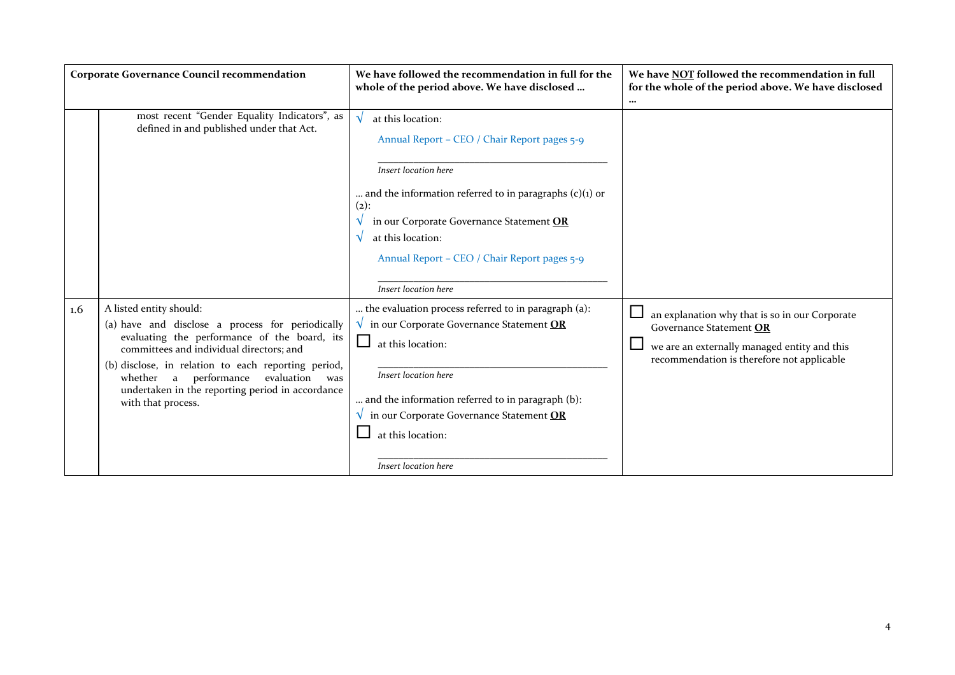| <b>Corporate Governance Council recommendation</b> |                                                                                                                                                                                                                                                                                                                                                  | We have followed the recommendation in full for the<br>whole of the period above. We have disclosed                                                                                                                                                                                                          | We have NOT followed the recommendation in full<br>for the whole of the period above. We have disclosed<br>$\cdots$                                                     |
|----------------------------------------------------|--------------------------------------------------------------------------------------------------------------------------------------------------------------------------------------------------------------------------------------------------------------------------------------------------------------------------------------------------|--------------------------------------------------------------------------------------------------------------------------------------------------------------------------------------------------------------------------------------------------------------------------------------------------------------|-------------------------------------------------------------------------------------------------------------------------------------------------------------------------|
|                                                    | most recent "Gender Equality Indicators", as<br>defined in and published under that Act.                                                                                                                                                                                                                                                         | at this location:<br>Annual Report – CEO / Chair Report pages 5-9<br>Insert location here<br>and the information referred to in paragraphs $(c)(1)$ or<br>$(2)$ :<br>in our Corporate Governance Statement OR<br>at this location:<br>Annual Report - CEO / Chair Report pages 5-9<br>Insert location here   |                                                                                                                                                                         |
| $1.6\,$                                            | A listed entity should:<br>(a) have and disclose a process for periodically<br>evaluating the performance of the board, its<br>committees and individual directors; and<br>(b) disclose, in relation to each reporting period,<br>whether a performance evaluation was<br>undertaken in the reporting period in accordance<br>with that process. | the evaluation process referred to in paragraph (a):<br>$\sqrt{\ }$ in our Corporate Governance Statement OR<br>⊔<br>at this location:<br>Insert location here<br>and the information referred to in paragraph (b):<br>in our Corporate Governance Statement OR<br>at this location:<br>Insert location here | an explanation why that is so in our Corporate<br>Governance Statement OR<br>we are an externally managed entity and this<br>recommendation is therefore not applicable |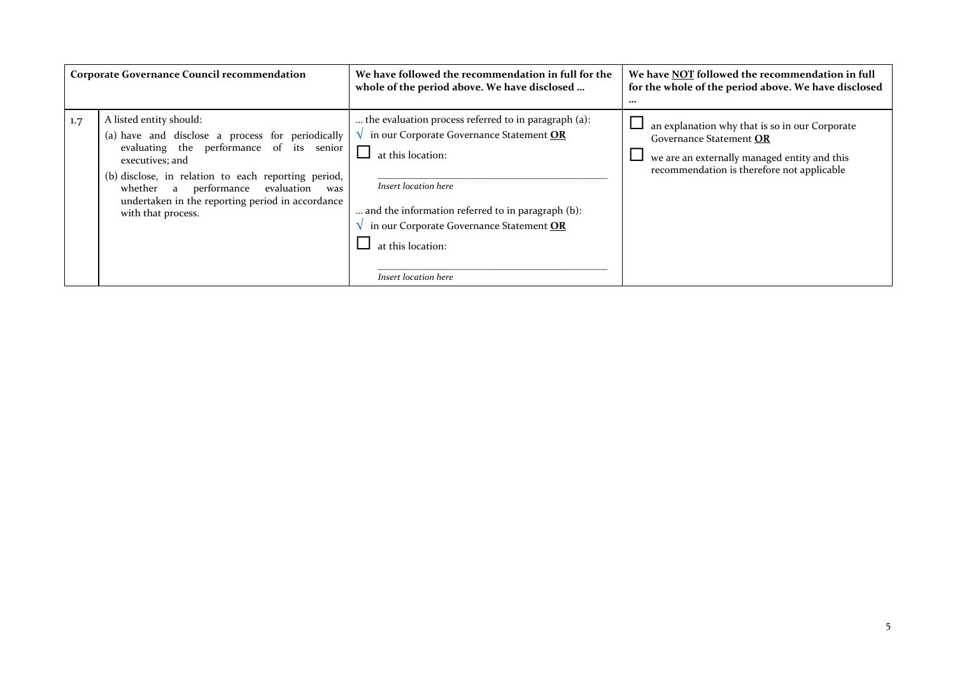|     | <b>Corporate Governance Council recommendation</b>                                                                                                                                                                                                                                                                           | We have followed the recommendation in full for the<br>whole of the period above. We have disclosed                                                                                                                                                                                         | We have NOT followed the recommendation in full<br>for the whole of the period above. We have disclosed<br>$\cdots$                                                     |
|-----|------------------------------------------------------------------------------------------------------------------------------------------------------------------------------------------------------------------------------------------------------------------------------------------------------------------------------|---------------------------------------------------------------------------------------------------------------------------------------------------------------------------------------------------------------------------------------------------------------------------------------------|-------------------------------------------------------------------------------------------------------------------------------------------------------------------------|
| 1.7 | A listed entity should:<br>(a) have and disclose a process for periodically<br>evaluating the performance of its senior<br>executives; and<br>(b) disclose, in relation to each reporting period,<br>performance<br>evaluation<br>whether a<br>was<br>undertaken in the reporting period in accordance<br>with that process. | the evaluation process referred to in paragraph (a):<br>in our Corporate Governance Statement OR<br>at this location:<br>Insert location here<br>and the information referred to in paragraph (b):<br>in our Corporate Governance Statement OR<br>at this location:<br>Insert location here | an explanation why that is so in our Corporate<br>Governance Statement OR<br>we are an externally managed entity and this<br>recommendation is therefore not applicable |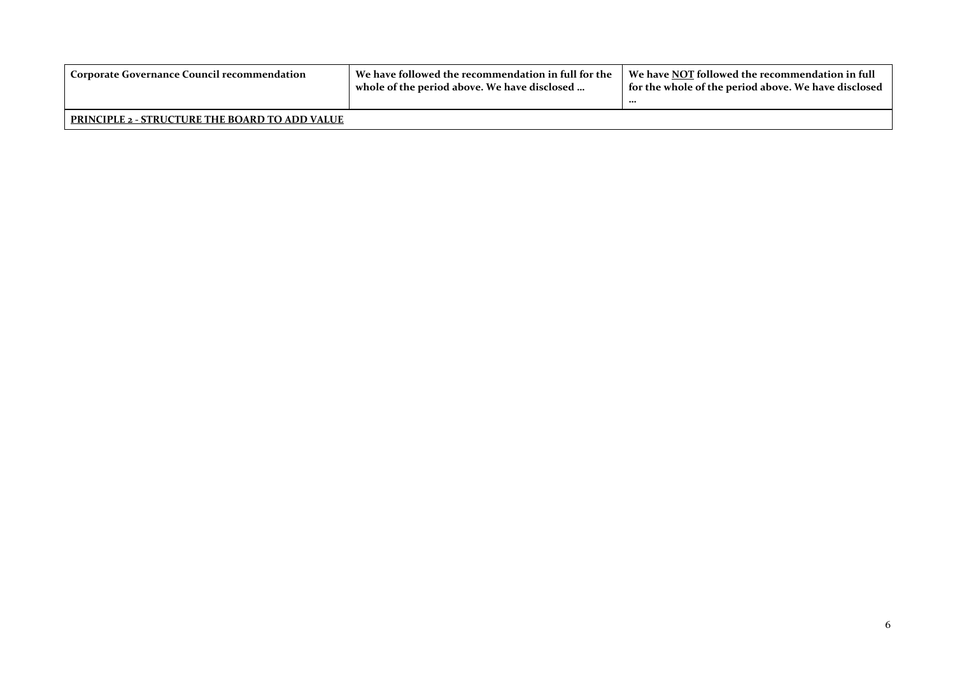| Corporate Governance Council recommendation           | We have followed the recommendation in full for the<br>whole of the period above. We have disclosed | We have NOT followed the recommendation in full<br>for the whole of the period above. We have disclosed `<br> |
|-------------------------------------------------------|-----------------------------------------------------------------------------------------------------|---------------------------------------------------------------------------------------------------------------|
| <b>PRINCIPLE 2 - STRUCTURE THE BOARD TO ADD VALUE</b> |                                                                                                     |                                                                                                               |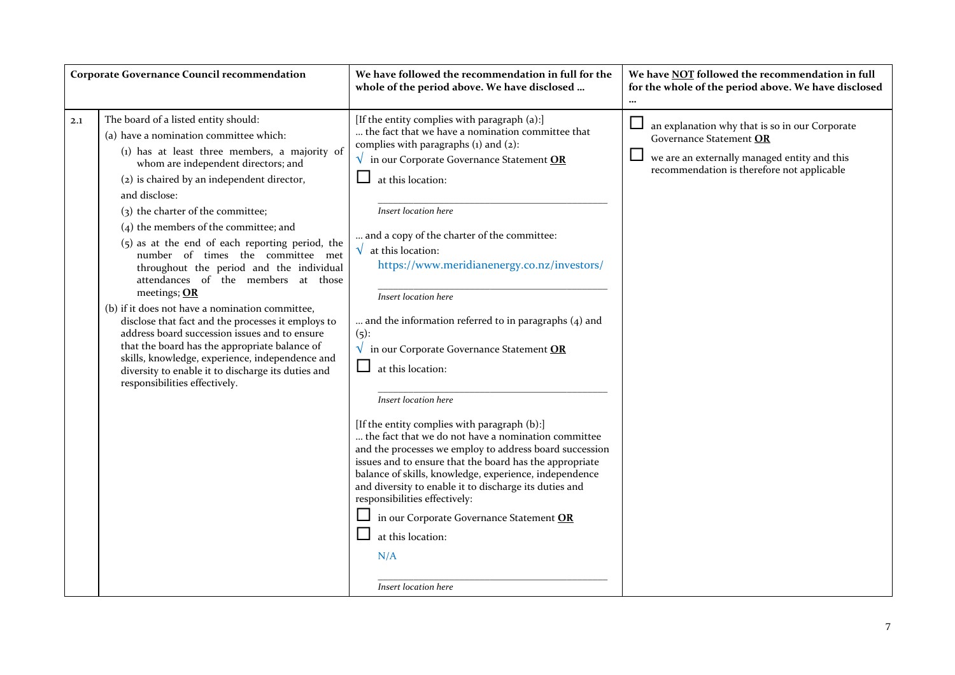|     | <b>Corporate Governance Council recommendation</b>                                                                                                                                                                                                                                                                                                                                                                                                                                                                                                                                                                                                                                                                                                                                                                                                                    | We have followed the recommendation in full for the<br>whole of the period above. We have disclosed                                                                                                                                                                                                                                                                                                                                                                                                                                                                                                                                                                                                                                                                                                                                                                                                                                                                                                                                                                                       | We have NOT followed the recommendation in full<br>for the whole of the period above. We have disclosed                                                                 |
|-----|-----------------------------------------------------------------------------------------------------------------------------------------------------------------------------------------------------------------------------------------------------------------------------------------------------------------------------------------------------------------------------------------------------------------------------------------------------------------------------------------------------------------------------------------------------------------------------------------------------------------------------------------------------------------------------------------------------------------------------------------------------------------------------------------------------------------------------------------------------------------------|-------------------------------------------------------------------------------------------------------------------------------------------------------------------------------------------------------------------------------------------------------------------------------------------------------------------------------------------------------------------------------------------------------------------------------------------------------------------------------------------------------------------------------------------------------------------------------------------------------------------------------------------------------------------------------------------------------------------------------------------------------------------------------------------------------------------------------------------------------------------------------------------------------------------------------------------------------------------------------------------------------------------------------------------------------------------------------------------|-------------------------------------------------------------------------------------------------------------------------------------------------------------------------|
| 2.1 | The board of a listed entity should:<br>(a) have a nomination committee which:<br>(1) has at least three members, a majority of<br>whom are independent directors; and<br>(2) is chaired by an independent director,<br>and disclose:<br>(3) the charter of the committee;<br>$(4)$ the members of the committee; and<br>(5) as at the end of each reporting period, the<br>number of times the committee met<br>throughout the period and the individual<br>attendances of the members at those<br>meetings; OR<br>(b) if it does not have a nomination committee,<br>disclose that fact and the processes it employs to<br>address board succession issues and to ensure<br>that the board has the appropriate balance of<br>skills, knowledge, experience, independence and<br>diversity to enable it to discharge its duties and<br>responsibilities effectively. | [If the entity complies with paragraph (a):]<br>the fact that we have a nomination committee that<br>complies with paragraphs $(i)$ and $(2)$ :<br>$\sqrt{\ }$ in our Corporate Governance Statement OR<br>at this location:<br>Insert location here<br>and a copy of the charter of the committee:<br>$\sqrt{\phantom{a}}$ at this location:<br>https://www.meridianenergy.co.nz/investors/<br>Insert location here<br>and the information referred to in paragraphs (4) and<br>$(5)$ :<br>$\sqrt{\ }$ in our Corporate Governance Statement OR<br>$\Box$<br>at this location:<br>Insert location here<br>[If the entity complies with paragraph (b):]<br>the fact that we do not have a nomination committee<br>and the processes we employ to address board succession<br>issues and to ensure that the board has the appropriate<br>balance of skills, knowledge, experience, independence<br>and diversity to enable it to discharge its duties and<br>responsibilities effectively:<br>in our Corporate Governance Statement OR<br>at this location:<br>N/A<br>Insert location here | an explanation why that is so in our Corporate<br>Governance Statement OR<br>we are an externally managed entity and this<br>recommendation is therefore not applicable |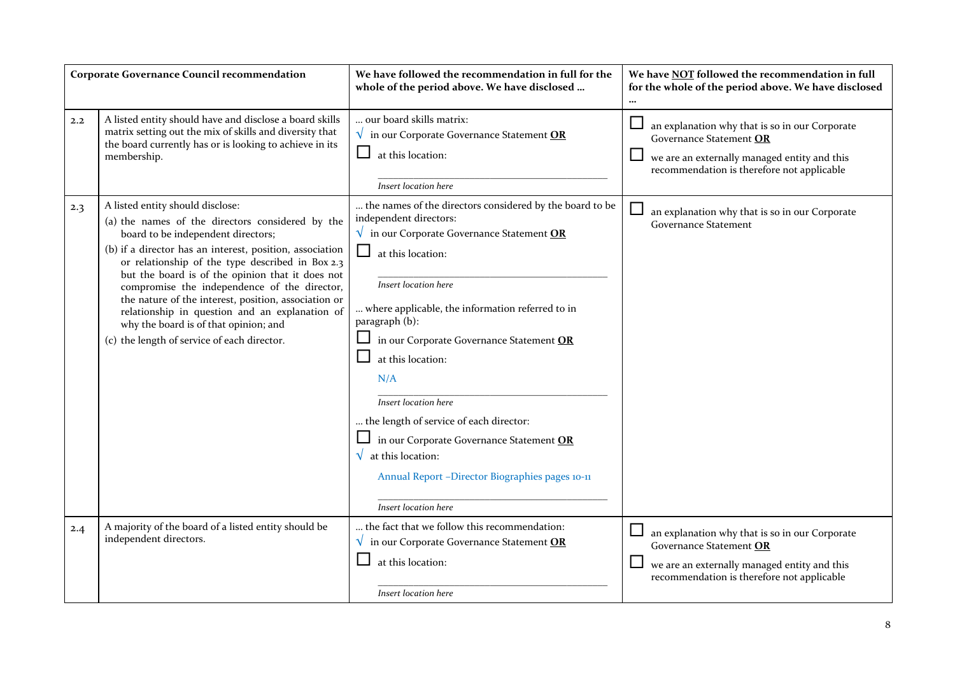|     | <b>Corporate Governance Council recommendation</b>                                                                                                                                                                                                                                                                                                                                                                                                                                                                                               | We have followed the recommendation in full for the<br>whole of the period above. We have disclosed                                                                                                                                                                                                                                                                                                                                                                                                                                                  | We have NOT followed the recommendation in full<br>for the whole of the period above. We have disclosed<br>$\cdots$                                                     |
|-----|--------------------------------------------------------------------------------------------------------------------------------------------------------------------------------------------------------------------------------------------------------------------------------------------------------------------------------------------------------------------------------------------------------------------------------------------------------------------------------------------------------------------------------------------------|------------------------------------------------------------------------------------------------------------------------------------------------------------------------------------------------------------------------------------------------------------------------------------------------------------------------------------------------------------------------------------------------------------------------------------------------------------------------------------------------------------------------------------------------------|-------------------------------------------------------------------------------------------------------------------------------------------------------------------------|
| 2.2 | A listed entity should have and disclose a board skills<br>matrix setting out the mix of skills and diversity that<br>the board currently has or is looking to achieve in its<br>membership.                                                                                                                                                                                                                                                                                                                                                     | our board skills matrix:<br>$\sqrt{\ }$ in our Corporate Governance Statement OR<br>at this location:<br>Insert location here                                                                                                                                                                                                                                                                                                                                                                                                                        | an explanation why that is so in our Corporate<br>Governance Statement OR<br>we are an externally managed entity and this<br>recommendation is therefore not applicable |
| 2.3 | A listed entity should disclose:<br>(a) the names of the directors considered by the<br>board to be independent directors;<br>(b) if a director has an interest, position, association<br>or relationship of the type described in Box 2.3<br>but the board is of the opinion that it does not<br>compromise the independence of the director,<br>the nature of the interest, position, association or<br>relationship in question and an explanation of<br>why the board is of that opinion; and<br>(c) the length of service of each director. | the names of the directors considered by the board to be<br>independent directors:<br>$\sqrt{\ }$ in our Corporate Governance Statement OR<br>at this location:<br>Insert location here<br>where applicable, the information referred to in<br>paragraph (b):<br>in our Corporate Governance Statement OR<br>at this location:<br>N/A<br>Insert location here<br>the length of service of each director:<br>in our Corporate Governance Statement OR<br>at this location:<br>Annual Report -Director Biographies pages 10-11<br>Insert location here | an explanation why that is so in our Corporate<br><b>Governance Statement</b>                                                                                           |
| 2.4 | A majority of the board of a listed entity should be<br>independent directors.                                                                                                                                                                                                                                                                                                                                                                                                                                                                   | the fact that we follow this recommendation:<br>in our Corporate Governance Statement OR<br>at this location:<br>Insert location here                                                                                                                                                                                                                                                                                                                                                                                                                | an explanation why that is so in our Corporate<br>Governance Statement OR<br>we are an externally managed entity and this<br>recommendation is therefore not applicable |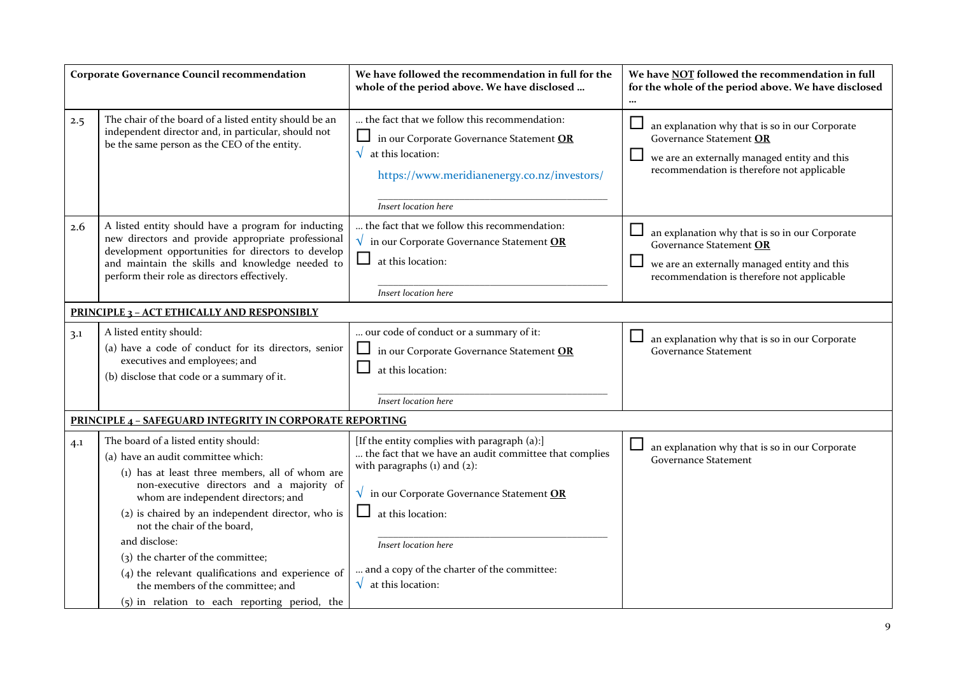|                                                    | <b>Corporate Governance Council recommendation</b>                                                                                                                                                                                                                 | We have followed the recommendation in full for the<br>whole of the period above. We have disclosed                                                                                              | We have NOT followed the recommendation in full<br>for the whole of the period above. We have disclosed                                                                 |
|----------------------------------------------------|--------------------------------------------------------------------------------------------------------------------------------------------------------------------------------------------------------------------------------------------------------------------|--------------------------------------------------------------------------------------------------------------------------------------------------------------------------------------------------|-------------------------------------------------------------------------------------------------------------------------------------------------------------------------|
| 2.5                                                | The chair of the board of a listed entity should be an<br>independent director and, in particular, should not<br>be the same person as the CEO of the entity.                                                                                                      | the fact that we follow this recommendation:<br>in our Corporate Governance Statement OR<br>$\sqrt{\;}$ at this location:<br>https://www.meridianenergy.co.nz/investors/<br>Insert location here | an explanation why that is so in our Corporate<br>Governance Statement OR<br>we are an externally managed entity and this<br>recommendation is therefore not applicable |
| 2.6                                                | A listed entity should have a program for inducting<br>new directors and provide appropriate professional<br>development opportunities for directors to develop<br>and maintain the skills and knowledge needed to<br>perform their role as directors effectively. | the fact that we follow this recommendation:<br>$\sqrt{\ }$ in our Corporate Governance Statement OR<br>at this location:<br>Insert location here                                                | an explanation why that is so in our Corporate<br>Governance Statement OR<br>we are an externally managed entity and this<br>recommendation is therefore not applicable |
| <b>PRINCIPLE 3 - ACT ETHICALLY AND RESPONSIBLY</b> |                                                                                                                                                                                                                                                                    |                                                                                                                                                                                                  |                                                                                                                                                                         |
| 3.1                                                | A listed entity should:<br>(a) have a code of conduct for its directors, senior<br>executives and employees; and<br>(b) disclose that code or a summary of it.                                                                                                     | our code of conduct or a summary of it:<br>in our Corporate Governance Statement OR<br>at this location:                                                                                         | an explanation why that is so in our Corporate<br><b>Governance Statement</b>                                                                                           |
|                                                    |                                                                                                                                                                                                                                                                    | Insert location here                                                                                                                                                                             |                                                                                                                                                                         |
|                                                    | <b>PRINCIPLE 4 - SAFEGUARD INTEGRITY IN CORPORATE REPORTING</b>                                                                                                                                                                                                    |                                                                                                                                                                                                  |                                                                                                                                                                         |
| 4.1                                                | The board of a listed entity should:<br>(a) have an audit committee which:<br>(1) has at least three members, all of whom are                                                                                                                                      | [If the entity complies with paragraph (a):]<br>the fact that we have an audit committee that complies<br>with paragraphs $(i)$ and $(2)$ :                                                      | an explanation why that is so in our Corporate<br><b>Governance Statement</b>                                                                                           |
|                                                    | non-executive directors and a majority of<br>whom are independent directors; and                                                                                                                                                                                   | $\sqrt{\ }$ in our Corporate Governance Statement OR                                                                                                                                             |                                                                                                                                                                         |
|                                                    | (2) is chaired by an independent director, who is<br>not the chair of the board,                                                                                                                                                                                   | at this location:                                                                                                                                                                                |                                                                                                                                                                         |
|                                                    | and disclose:                                                                                                                                                                                                                                                      | Insert location here                                                                                                                                                                             |                                                                                                                                                                         |
|                                                    | (3) the charter of the committee;<br>(4) the relevant qualifications and experience of<br>the members of the committee; and<br>(5) in relation to each reporting period, the                                                                                       | and a copy of the charter of the committee:<br>$\sqrt{\;}$ at this location:                                                                                                                     |                                                                                                                                                                         |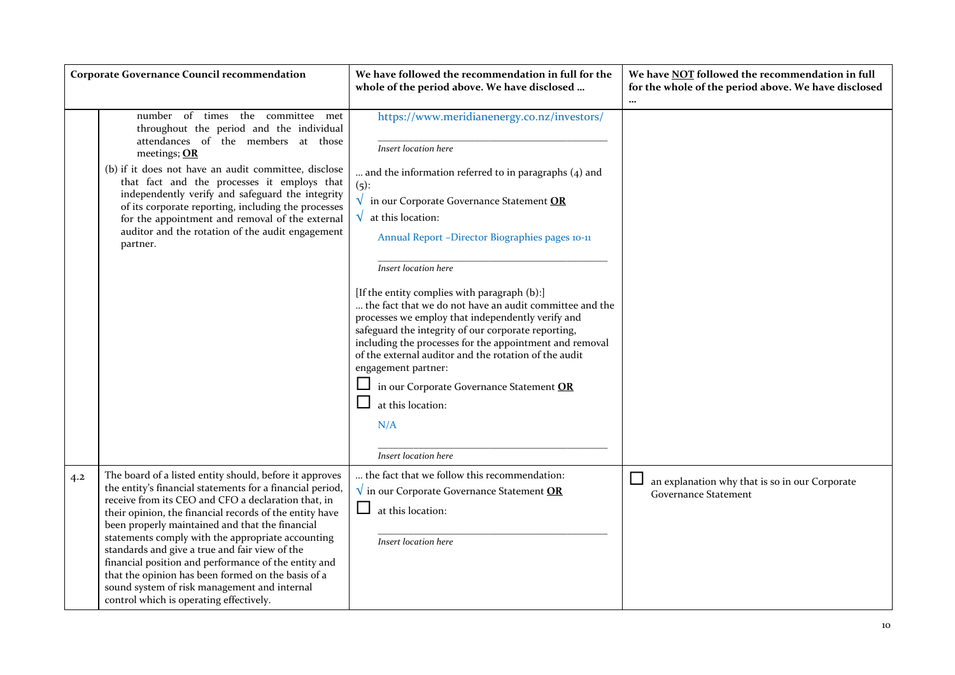|     | <b>Corporate Governance Council recommendation</b>                                                                                                                                                                                                                                                                                                                                                                                                                                                                                                                                                        | We have followed the recommendation in full for the<br>whole of the period above. We have disclosed                                                                                                                                                                                                                                                                                                                                                                                                                                                                                                                                                                                                                                                                                    | We have NOT followed the recommendation in full<br>for the whole of the period above. We have disclosed |
|-----|-----------------------------------------------------------------------------------------------------------------------------------------------------------------------------------------------------------------------------------------------------------------------------------------------------------------------------------------------------------------------------------------------------------------------------------------------------------------------------------------------------------------------------------------------------------------------------------------------------------|----------------------------------------------------------------------------------------------------------------------------------------------------------------------------------------------------------------------------------------------------------------------------------------------------------------------------------------------------------------------------------------------------------------------------------------------------------------------------------------------------------------------------------------------------------------------------------------------------------------------------------------------------------------------------------------------------------------------------------------------------------------------------------------|---------------------------------------------------------------------------------------------------------|
|     | number of times the committee<br>met<br>throughout the period and the individual<br>attendances of the members at those<br>meetings; OR<br>(b) if it does not have an audit committee, disclose<br>that fact and the processes it employs that<br>independently verify and safeguard the integrity<br>of its corporate reporting, including the processes<br>for the appointment and removal of the external<br>auditor and the rotation of the audit engagement<br>partner.                                                                                                                              | https://www.meridianenergy.co.nz/investors/<br>Insert location here<br>and the information referred to in paragraphs (4) and<br>$(5)$ :<br>$\sqrt{\ }$ in our Corporate Governance Statement OR<br>$\sqrt{\phantom{a}}$ at this location:<br>Annual Report -Director Biographies pages 10-11<br>Insert location here<br>[If the entity complies with paragraph (b):]<br>the fact that we do not have an audit committee and the<br>processes we employ that independently verify and<br>safeguard the integrity of our corporate reporting,<br>including the processes for the appointment and removal<br>of the external auditor and the rotation of the audit<br>engagement partner:<br>in our Corporate Governance Statement OR<br>at this location:<br>N/A<br>Insert location here |                                                                                                         |
| 4.2 | The board of a listed entity should, before it approves<br>the entity's financial statements for a financial period,<br>receive from its CEO and CFO a declaration that, in<br>their opinion, the financial records of the entity have<br>been properly maintained and that the financial<br>statements comply with the appropriate accounting<br>standards and give a true and fair view of the<br>financial position and performance of the entity and<br>that the opinion has been formed on the basis of a<br>sound system of risk management and internal<br>control which is operating effectively. | the fact that we follow this recommendation:<br>$\sqrt{\ }$ in our Corporate Governance Statement OR<br>at this location:<br>Insert location here                                                                                                                                                                                                                                                                                                                                                                                                                                                                                                                                                                                                                                      | $\Box$<br>an explanation why that is so in our Corporate<br><b>Governance Statement</b>                 |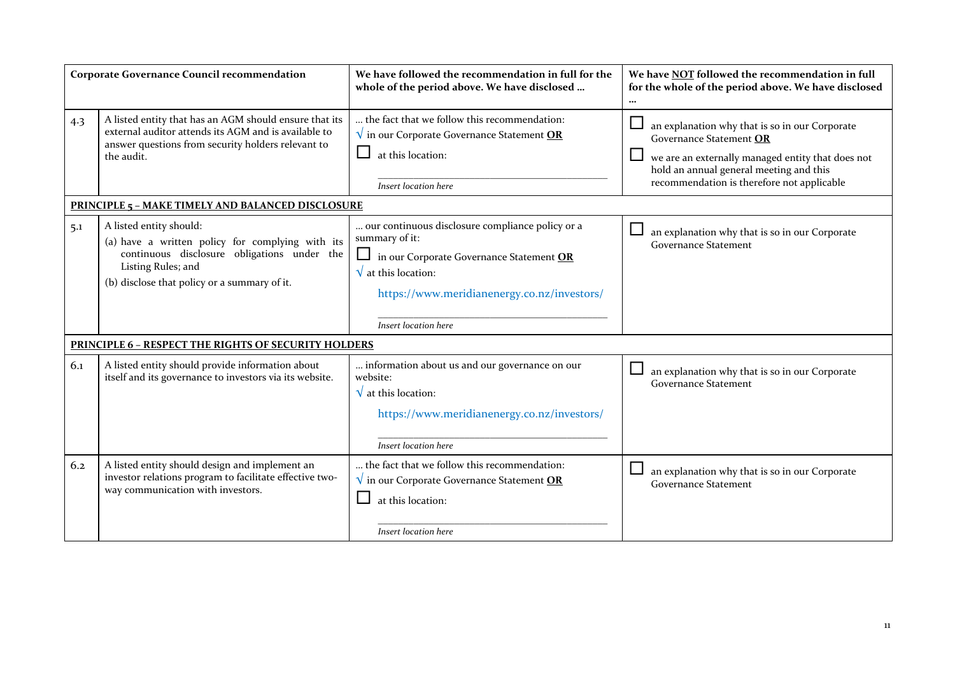|     | <b>Corporate Governance Council recommendation</b>                                                                                                                                               | We have followed the recommendation in full for the<br>whole of the period above. We have disclosed                                                                                                                           | We have NOT followed the recommendation in full<br>for the whole of the period above. We have disclosed<br>$\cdots$                                                                                                     |
|-----|--------------------------------------------------------------------------------------------------------------------------------------------------------------------------------------------------|-------------------------------------------------------------------------------------------------------------------------------------------------------------------------------------------------------------------------------|-------------------------------------------------------------------------------------------------------------------------------------------------------------------------------------------------------------------------|
| 4.3 | A listed entity that has an AGM should ensure that its<br>external auditor attends its AGM and is available to<br>answer questions from security holders relevant to<br>the audit.               | the fact that we follow this recommendation:<br>$\sqrt{\ }$ in our Corporate Governance Statement OR<br>at this location:<br>Insert location here                                                                             | an explanation why that is so in our Corporate<br>Governance Statement OR<br>we are an externally managed entity that does not<br>hold an annual general meeting and this<br>recommendation is therefore not applicable |
|     | <b>PRINCIPLE 5 - MAKE TIMELY AND BALANCED DISCLOSURE</b>                                                                                                                                         |                                                                                                                                                                                                                               |                                                                                                                                                                                                                         |
| 5.1 | A listed entity should:<br>(a) have a written policy for complying with its<br>continuous disclosure obligations under the<br>Listing Rules; and<br>(b) disclose that policy or a summary of it. | our continuous disclosure compliance policy or a<br>summary of it:<br>$\Box$ in our Corporate Governance Statement OR<br>$\sqrt{\ }$ at this location:<br>https://www.meridianenergy.co.nz/investors/<br>Insert location here | an explanation why that is so in our Corporate<br><b>Governance Statement</b>                                                                                                                                           |
|     | PRINCIPLE 6 - RESPECT THE RIGHTS OF SECURITY HOLDERS                                                                                                                                             |                                                                                                                                                                                                                               |                                                                                                                                                                                                                         |
| 6.1 | A listed entity should provide information about<br>itself and its governance to investors via its website.                                                                                      | information about us and our governance on our<br>website:<br>$\sqrt{\ }$ at this location:<br>https://www.meridianenergy.co.nz/investors/<br>Insert location here                                                            | an explanation why that is so in our Corporate<br><b>Governance Statement</b>                                                                                                                                           |
| 6.2 | A listed entity should design and implement an<br>investor relations program to facilitate effective two-<br>way communication with investors.                                                   | the fact that we follow this recommendation:<br>$\sqrt{\ }$ in our Corporate Governance Statement OR<br>at this location:<br>Insert location here                                                                             | an explanation why that is so in our Corporate<br><b>Governance Statement</b>                                                                                                                                           |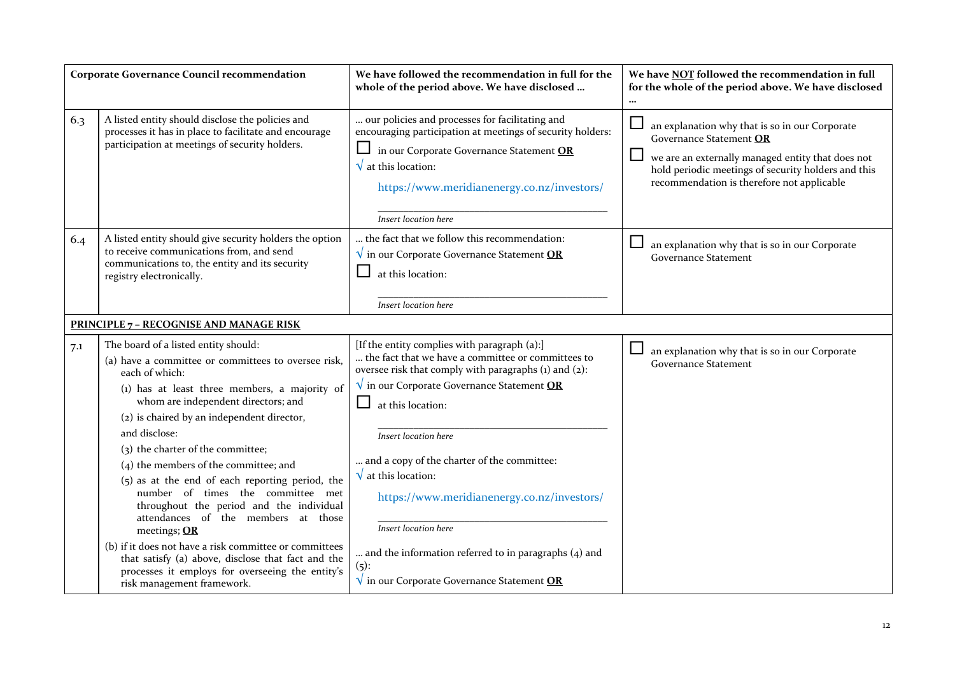|     | <b>Corporate Governance Council recommendation</b>                                                                                                                                                                                                                                                                                                                                                                                                                                                                            | We have followed the recommendation in full for the<br>whole of the period above. We have disclosed                                                                                                                                                                                                                                                                                                  | We have NOT followed the recommendation in full<br>for the whole of the period above. We have disclosed<br>$\cdots$                                                                                                                           |
|-----|-------------------------------------------------------------------------------------------------------------------------------------------------------------------------------------------------------------------------------------------------------------------------------------------------------------------------------------------------------------------------------------------------------------------------------------------------------------------------------------------------------------------------------|------------------------------------------------------------------------------------------------------------------------------------------------------------------------------------------------------------------------------------------------------------------------------------------------------------------------------------------------------------------------------------------------------|-----------------------------------------------------------------------------------------------------------------------------------------------------------------------------------------------------------------------------------------------|
| 6.3 | A listed entity should disclose the policies and<br>processes it has in place to facilitate and encourage<br>participation at meetings of security holders.                                                                                                                                                                                                                                                                                                                                                                   | our policies and processes for facilitating and<br>encouraging participation at meetings of security holders:<br>in our Corporate Governance Statement OR<br>$\sqrt{\,}$ at this location:<br>https://www.meridianenergy.co.nz/investors/<br>Insert location here                                                                                                                                    | an explanation why that is so in our Corporate<br>Governance Statement OR<br>$\Box$<br>we are an externally managed entity that does not<br>hold periodic meetings of security holders and this<br>recommendation is therefore not applicable |
| 6.4 | A listed entity should give security holders the option<br>to receive communications from, and send<br>communications to, the entity and its security<br>registry electronically.                                                                                                                                                                                                                                                                                                                                             | the fact that we follow this recommendation:<br>$\sqrt{\ }$ in our Corporate Governance Statement OR<br>at this location:<br>Insert location here                                                                                                                                                                                                                                                    | $\Box$<br>an explanation why that is so in our Corporate<br><b>Governance Statement</b>                                                                                                                                                       |
|     | <b>PRINCIPLE 7 - RECOGNISE AND MANAGE RISK</b>                                                                                                                                                                                                                                                                                                                                                                                                                                                                                |                                                                                                                                                                                                                                                                                                                                                                                                      |                                                                                                                                                                                                                                               |
| 7.1 | The board of a listed entity should:<br>(a) have a committee or committees to oversee risk,<br>each of which:<br>(1) has at least three members, a majority of<br>whom are independent directors; and<br>(2) is chaired by an independent director,<br>and disclose:<br>(3) the charter of the committee;<br>(4) the members of the committee; and<br>(5) as at the end of each reporting period, the<br>number of times the committee met<br>throughout the period and the individual<br>attendances of the members at those | [If the entity complies with paragraph (a):]<br>the fact that we have a committee or committees to<br>oversee risk that comply with paragraphs (1) and (2):<br>$\sqrt{\ }$ in our Corporate Governance Statement OR<br>ப<br>at this location:<br>Insert location here<br>and a copy of the charter of the committee:<br>$\sqrt{\,}$ at this location:<br>https://www.meridianenergy.co.nz/investors/ | $\sqcup$<br>an explanation why that is so in our Corporate<br><b>Governance Statement</b>                                                                                                                                                     |
|     | meetings; OR<br>(b) if it does not have a risk committee or committees<br>that satisfy (a) above, disclose that fact and the<br>processes it employs for overseeing the entity's<br>risk management framework.                                                                                                                                                                                                                                                                                                                | Insert location here<br>and the information referred to in paragraphs (4) and<br>(5):<br>$\sqrt{\ }$ in our Corporate Governance Statement OR                                                                                                                                                                                                                                                        |                                                                                                                                                                                                                                               |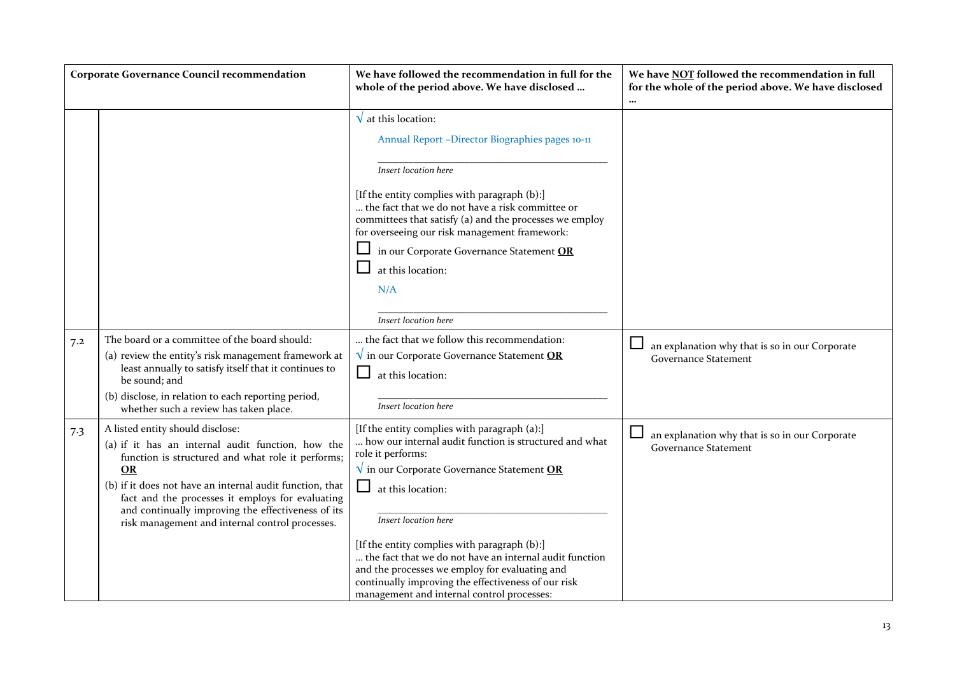|     | <b>Corporate Governance Council recommendation</b>                                                                                                                                                                                                                                                                                                                               | We have followed the recommendation in full for the<br>whole of the period above. We have disclosed                                                                                                                                                                                                                                                                                                                                                                                                      | We have NOT followed the recommendation in full<br>for the whole of the period above. We have disclosed<br>$\cdots$ |
|-----|----------------------------------------------------------------------------------------------------------------------------------------------------------------------------------------------------------------------------------------------------------------------------------------------------------------------------------------------------------------------------------|----------------------------------------------------------------------------------------------------------------------------------------------------------------------------------------------------------------------------------------------------------------------------------------------------------------------------------------------------------------------------------------------------------------------------------------------------------------------------------------------------------|---------------------------------------------------------------------------------------------------------------------|
|     |                                                                                                                                                                                                                                                                                                                                                                                  | $\sqrt{\,}$ at this location:<br>Annual Report -Director Biographies pages 10-11<br>Insert location here<br>[If the entity complies with paragraph (b):]<br>the fact that we do not have a risk committee or<br>committees that satisfy (a) and the processes we employ<br>for overseeing our risk management framework:<br>in our Corporate Governance Statement OR<br>at this location:<br>N/A<br>Insert location here                                                                                 |                                                                                                                     |
| 7.2 | The board or a committee of the board should:<br>(a) review the entity's risk management framework at<br>least annually to satisfy itself that it continues to<br>be sound; and<br>(b) disclose, in relation to each reporting period,<br>whether such a review has taken place.                                                                                                 | the fact that we follow this recommendation:<br>$\sqrt{\ }$ in our Corporate Governance Statement OR<br>at this location:<br>Insert location here                                                                                                                                                                                                                                                                                                                                                        | an explanation why that is so in our Corporate<br><b>Governance Statement</b>                                       |
| 7.3 | A listed entity should disclose:<br>(a) if it has an internal audit function, how the<br>function is structured and what role it performs;<br><b>OR</b><br>(b) if it does not have an internal audit function, that<br>fact and the processes it employs for evaluating<br>and continually improving the effectiveness of its<br>risk management and internal control processes. | [If the entity complies with paragraph (a):]<br>how our internal audit function is structured and what<br>role it performs:<br>$\sqrt{\ }$ in our Corporate Governance Statement OR<br>⊔.<br>at this location:<br>Insert location here<br>[If the entity complies with paragraph (b):]<br>the fact that we do not have an internal audit function<br>and the processes we employ for evaluating and<br>continually improving the effectiveness of our risk<br>management and internal control processes: | an explanation why that is so in our Corporate<br><b>Governance Statement</b>                                       |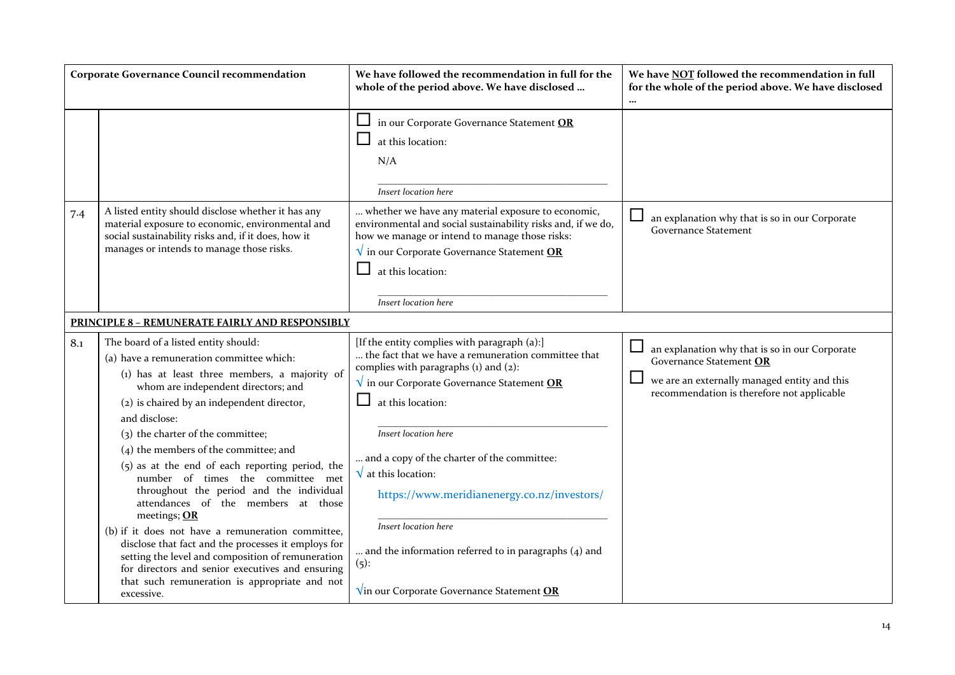|     | <b>Corporate Governance Council recommendation</b>                                                                                                                                                                                                                                                                                                                                                                                                                                                                                                                                                                                                                                                                                                                                       | We have followed the recommendation in full for the<br>whole of the period above. We have disclosed                                                                                                                                                                                                                                                                                                                                                                               | We have NOT followed the recommendation in full<br>for the whole of the period above. We have disclosed                                                                 |
|-----|------------------------------------------------------------------------------------------------------------------------------------------------------------------------------------------------------------------------------------------------------------------------------------------------------------------------------------------------------------------------------------------------------------------------------------------------------------------------------------------------------------------------------------------------------------------------------------------------------------------------------------------------------------------------------------------------------------------------------------------------------------------------------------------|-----------------------------------------------------------------------------------------------------------------------------------------------------------------------------------------------------------------------------------------------------------------------------------------------------------------------------------------------------------------------------------------------------------------------------------------------------------------------------------|-------------------------------------------------------------------------------------------------------------------------------------------------------------------------|
|     |                                                                                                                                                                                                                                                                                                                                                                                                                                                                                                                                                                                                                                                                                                                                                                                          | in our Corporate Governance Statement OR<br>at this location:<br>N/A<br>Insert location here                                                                                                                                                                                                                                                                                                                                                                                      |                                                                                                                                                                         |
| 7.4 | A listed entity should disclose whether it has any<br>material exposure to economic, environmental and<br>social sustainability risks and, if it does, how it<br>manages or intends to manage those risks.                                                                                                                                                                                                                                                                                                                                                                                                                                                                                                                                                                               | whether we have any material exposure to economic,<br>environmental and social sustainability risks and, if we do,<br>how we manage or intend to manage those risks:<br>$\sqrt{\ }$ in our Corporate Governance Statement OR<br>at this location:<br>Insert location here                                                                                                                                                                                                         | an explanation why that is so in our Corporate<br><b>Governance Statement</b>                                                                                           |
|     | <b>PRINCIPLE 8 - REMUNERATE FAIRLY AND RESPONSIBLY</b>                                                                                                                                                                                                                                                                                                                                                                                                                                                                                                                                                                                                                                                                                                                                   |                                                                                                                                                                                                                                                                                                                                                                                                                                                                                   |                                                                                                                                                                         |
| 8.1 | The board of a listed entity should:<br>(a) have a remuneration committee which:<br>(1) has at least three members, a majority of<br>whom are independent directors; and<br>(2) is chaired by an independent director,<br>and disclose:<br>(3) the charter of the committee;<br>$(4)$ the members of the committee; and<br>(5) as at the end of each reporting period, the<br>number of times the committee met<br>throughout the period and the individual<br>attendances of the members at those<br>meetings; OR<br>(b) if it does not have a remuneration committee,<br>disclose that fact and the processes it employs for<br>setting the level and composition of remuneration<br>for directors and senior executives and ensuring<br>that such remuneration is appropriate and not | [If the entity complies with paragraph (a):]<br>the fact that we have a remuneration committee that<br>complies with paragraphs $(i)$ and $(2)$ :<br>$\sqrt{\ }$ in our Corporate Governance Statement OR<br>at this location:<br>Insert location here<br>and a copy of the charter of the committee:<br>$\sqrt{\ }$ at this location:<br>https://www.meridianenergy.co.nz/investors/<br>Insert location here<br>and the information referred to in paragraphs (4) and<br>$(5)$ : | an explanation why that is so in our Corporate<br>Governance Statement OR<br>we are an externally managed entity and this<br>recommendation is therefore not applicable |
|     | excessive.                                                                                                                                                                                                                                                                                                                                                                                                                                                                                                                                                                                                                                                                                                                                                                               | $\sqrt{ }$ in our Corporate Governance Statement OR                                                                                                                                                                                                                                                                                                                                                                                                                               |                                                                                                                                                                         |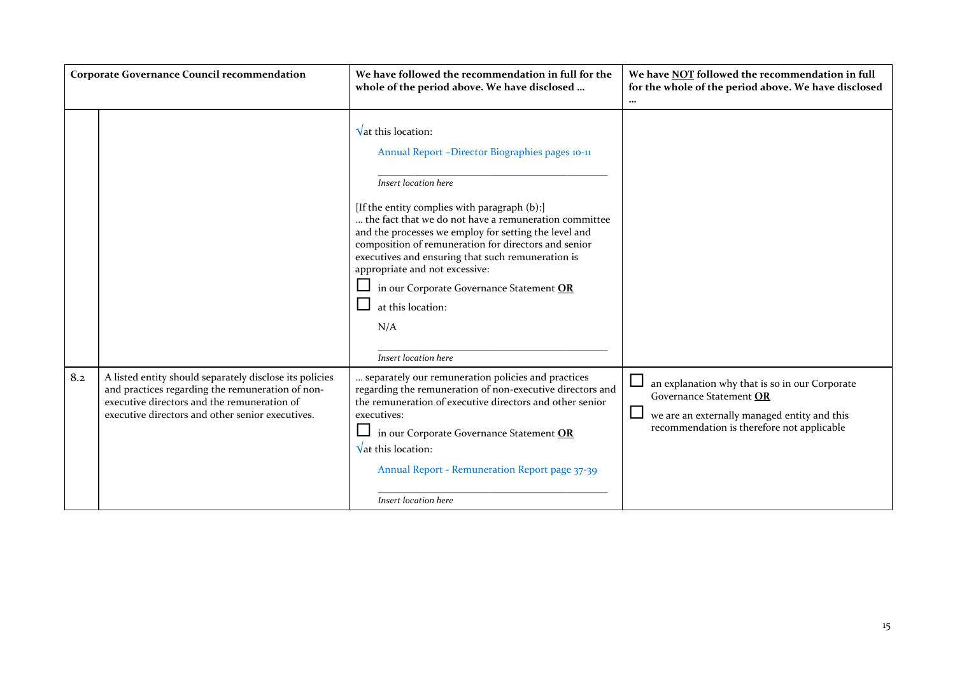|     | <b>Corporate Governance Council recommendation</b>                                                                                                                                                             | We have followed the recommendation in full for the<br>whole of the period above. We have disclosed                                                                                                                                                                                                                                                                                                                                                                                                                             | We have NOT followed the recommendation in full<br>for the whole of the period above. We have disclosed<br>$\cdots$                                                               |
|-----|----------------------------------------------------------------------------------------------------------------------------------------------------------------------------------------------------------------|---------------------------------------------------------------------------------------------------------------------------------------------------------------------------------------------------------------------------------------------------------------------------------------------------------------------------------------------------------------------------------------------------------------------------------------------------------------------------------------------------------------------------------|-----------------------------------------------------------------------------------------------------------------------------------------------------------------------------------|
|     |                                                                                                                                                                                                                | $\sqrt{\mathsf{at}}$ this location:<br>Annual Report -Director Biographies pages 10-11<br>Insert location here<br>[If the entity complies with paragraph (b):]<br>the fact that we do not have a remuneration committee<br>and the processes we employ for setting the level and<br>composition of remuneration for directors and senior<br>executives and ensuring that such remuneration is<br>appropriate and not excessive:<br>in our Corporate Governance Statement OR<br>at this location:<br>N/A<br>Insert location here |                                                                                                                                                                                   |
| 8.2 | A listed entity should separately disclose its policies<br>and practices regarding the remuneration of non-<br>executive directors and the remuneration of<br>executive directors and other senior executives. | separately our remuneration policies and practices<br>regarding the remuneration of non-executive directors and<br>the remuneration of executive directors and other senior<br>executives:<br>in our Corporate Governance Statement OR<br>$\sqrt{\mathsf{at}}$ this location:<br>Annual Report - Remuneration Report page 37-39<br>Insert location here                                                                                                                                                                         | └<br>an explanation why that is so in our Corporate<br>Governance Statement OR<br>⊔<br>we are an externally managed entity and this<br>recommendation is therefore not applicable |